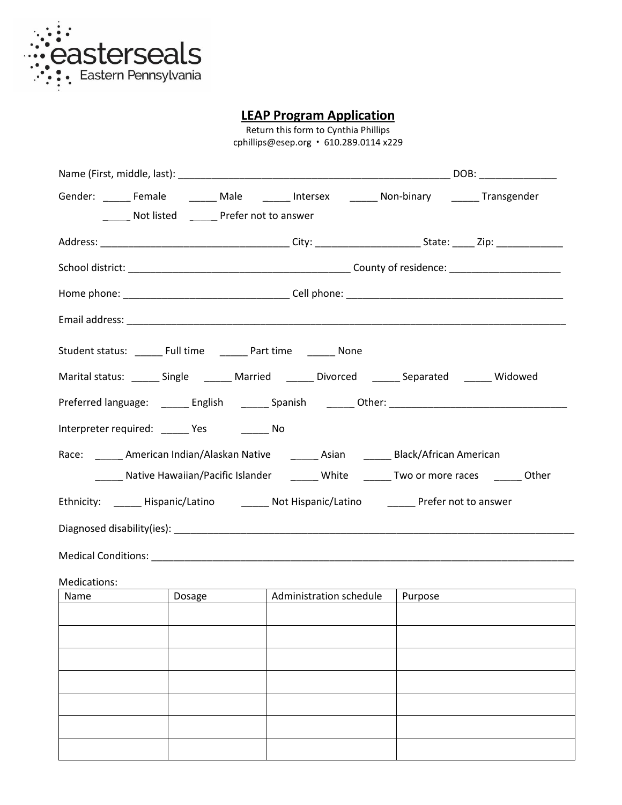

**LEAP Program Application**

Return this form to Cynthia Phillips cphillips@esep.org ꞏ 610.289.0114 x229

|                                                                          | Not listed _______ Prefer not to answer         | Gender: ________ Female __________ Male _________ Intersex _________ Non-binary ________ Transgender |  |  |
|--------------------------------------------------------------------------|-------------------------------------------------|------------------------------------------------------------------------------------------------------|--|--|
|                                                                          |                                                 |                                                                                                      |  |  |
|                                                                          |                                                 |                                                                                                      |  |  |
|                                                                          |                                                 |                                                                                                      |  |  |
|                                                                          |                                                 |                                                                                                      |  |  |
| Student status: _ _ _ _ Full time _ _ _ _ _ _ Part time _ _ _ _ _ _ None |                                                 |                                                                                                      |  |  |
|                                                                          |                                                 | Marital status: _______ Single ________ Married _______ Divorced _______ Separated _______ Widowed   |  |  |
|                                                                          |                                                 | Preferred language: ______ English _______ Spanish _______ Other: __________________________________ |  |  |
|                                                                          | Interpreter required: _______ Yes __________ No |                                                                                                      |  |  |
|                                                                          |                                                 | Race: American Indian/Alaskan Native Asian Black/African American                                    |  |  |
|                                                                          |                                                 | _______ Native Hawaiian/Pacific Islander __________ White ________ Two or more races ________ Other  |  |  |
|                                                                          |                                                 | Ethnicity: _______ Hispanic/Latino __________ Not Hispanic/Latino __________ Prefer not to answer    |  |  |
|                                                                          |                                                 |                                                                                                      |  |  |
|                                                                          |                                                 |                                                                                                      |  |  |
| Medications:                                                             |                                                 |                                                                                                      |  |  |
| Name                                                                     | Dosage                                          | Administration schedule   Purpose                                                                    |  |  |
|                                                                          |                                                 |                                                                                                      |  |  |
|                                                                          |                                                 |                                                                                                      |  |  |
|                                                                          |                                                 |                                                                                                      |  |  |
|                                                                          |                                                 |                                                                                                      |  |  |
|                                                                          |                                                 |                                                                                                      |  |  |
|                                                                          |                                                 |                                                                                                      |  |  |
|                                                                          |                                                 |                                                                                                      |  |  |
|                                                                          |                                                 |                                                                                                      |  |  |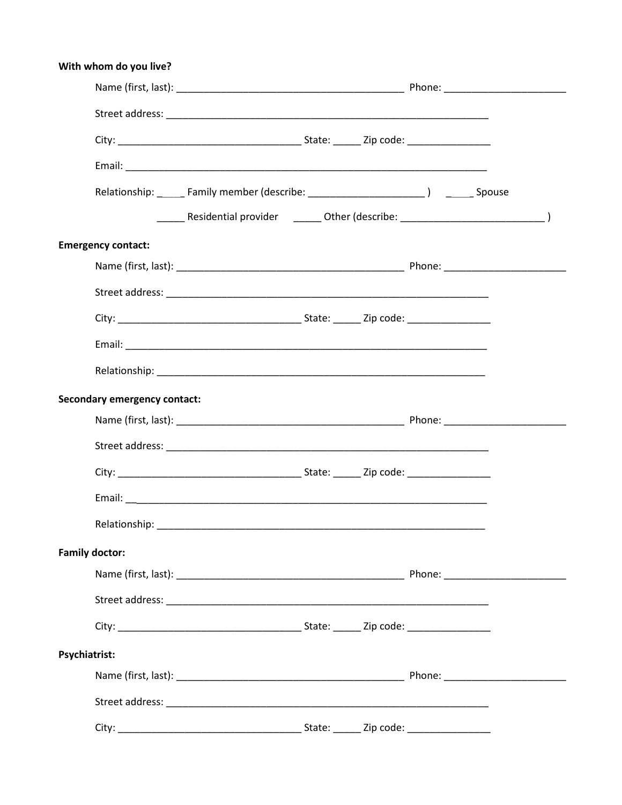| With whom do you live?              |  |  |  |
|-------------------------------------|--|--|--|
|                                     |  |  |  |
|                                     |  |  |  |
|                                     |  |  |  |
|                                     |  |  |  |
|                                     |  |  |  |
|                                     |  |  |  |
| <b>Emergency contact:</b>           |  |  |  |
|                                     |  |  |  |
|                                     |  |  |  |
|                                     |  |  |  |
|                                     |  |  |  |
|                                     |  |  |  |
| <b>Secondary emergency contact:</b> |  |  |  |
|                                     |  |  |  |
|                                     |  |  |  |
|                                     |  |  |  |
|                                     |  |  |  |
|                                     |  |  |  |
| <b>Family doctor:</b>               |  |  |  |
|                                     |  |  |  |
|                                     |  |  |  |
|                                     |  |  |  |
| Psychiatrist:                       |  |  |  |
|                                     |  |  |  |
|                                     |  |  |  |
|                                     |  |  |  |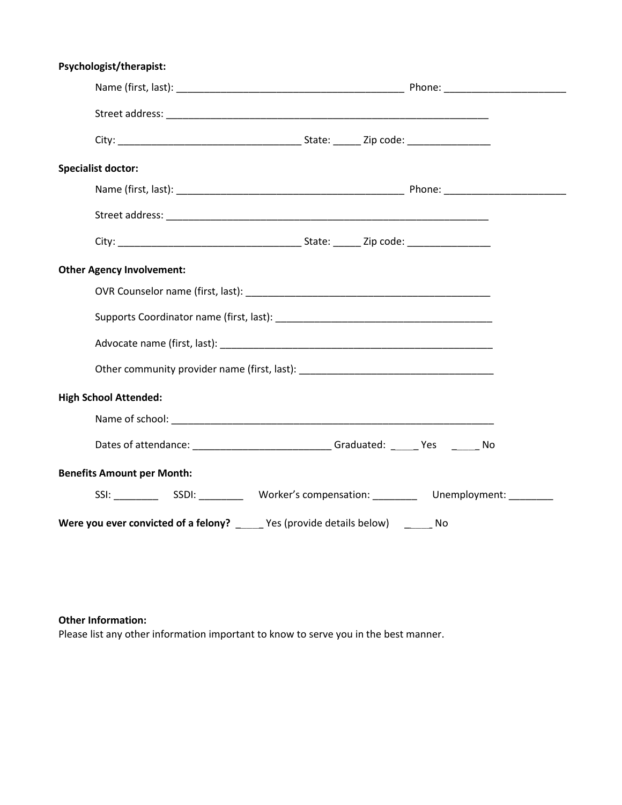| Psychologist/therapist:                                                           |  |  |  |  |  |
|-----------------------------------------------------------------------------------|--|--|--|--|--|
|                                                                                   |  |  |  |  |  |
|                                                                                   |  |  |  |  |  |
|                                                                                   |  |  |  |  |  |
| <b>Specialist doctor:</b>                                                         |  |  |  |  |  |
|                                                                                   |  |  |  |  |  |
|                                                                                   |  |  |  |  |  |
|                                                                                   |  |  |  |  |  |
| <b>Other Agency Involvement:</b>                                                  |  |  |  |  |  |
|                                                                                   |  |  |  |  |  |
|                                                                                   |  |  |  |  |  |
|                                                                                   |  |  |  |  |  |
| Other community provider name (first, last): ___________________________________  |  |  |  |  |  |
| <b>High School Attended:</b>                                                      |  |  |  |  |  |
|                                                                                   |  |  |  |  |  |
| Dates of attendance: _____________________________Graduated: ______Yes _______No  |  |  |  |  |  |
| <b>Benefits Amount per Month:</b>                                                 |  |  |  |  |  |
|                                                                                   |  |  |  |  |  |
| Were you ever convicted of a felony? ______ Yes (provide details below) ______ No |  |  |  |  |  |

## **Other Information:**

Please list any other information important to know to serve you in the best manner.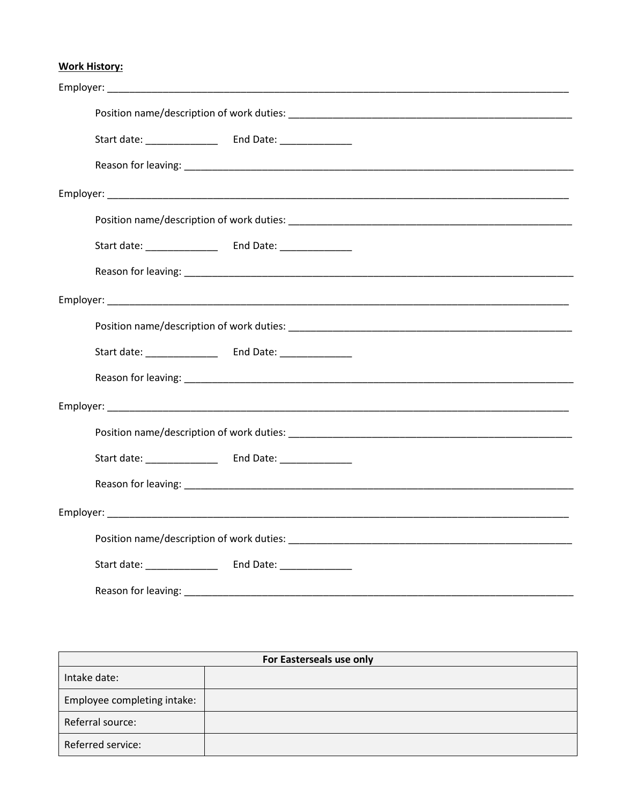## **Work History:**

| Start date: ______________ | End Date: ________________ |  |  |  |
|----------------------------|----------------------------|--|--|--|
| Reason for leaving:        |                            |  |  |  |

| For Easterseals use only    |  |  |
|-----------------------------|--|--|
| Intake date:                |  |  |
| Employee completing intake: |  |  |
| Referral source:            |  |  |
| Referred service:           |  |  |